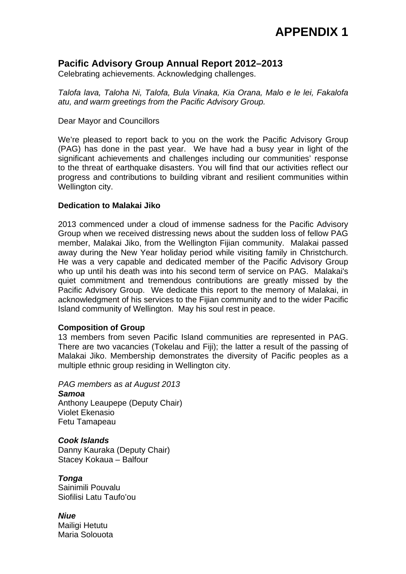## **APPENDIX 1**

## **Pacific Advisory Group Annual Report 2012–2013**

Celebrating achievements. Acknowledging challenges.

*Talofa lava, Taloha Ni, Talofa, Bula Vinaka, Kia Orana, Malo e le lei, Fakalofa atu, and warm greetings from the Pacific Advisory Group.*

#### Dear Mayor and Councillors

We're pleased to report back to you on the work the Pacific Advisory Group (PAG) has done in the past year. We have had a busy year in light of the significant achievements and challenges including our communities' response to the threat of earthquake disasters. You will find that our activities reflect our progress and contributions to building vibrant and resilient communities within Wellington city.

#### **Dedication to Malakai Jiko**

2013 commenced under a cloud of immense sadness for the Pacific Advisory Group when we received distressing news about the sudden loss of fellow PAG member, Malakai Jiko, from the Wellington Fijian community. Malakai passed away during the New Year holiday period while visiting family in Christchurch. He was a very capable and dedicated member of the Pacific Advisory Group who up until his death was into his second term of service on PAG. Malakai's quiet commitment and tremendous contributions are greatly missed by the Pacific Advisory Group. We dedicate this report to the memory of Malakai, in acknowledgment of his services to the Fijian community and to the wider Pacific Island community of Wellington. May his soul rest in peace.

#### **Composition of Group**

13 members from seven Pacific Island communities are represented in PAG. There are two vacancies (Tokelau and Fiji); the latter a result of the passing of Malakai Jiko. Membership demonstrates the diversity of Pacific peoples as a multiple ethnic group residing in Wellington city.

*PAG members as at August 2013 Samoa*  Anthony Leaupepe (Deputy Chair) Violet Ekenasio Fetu Tamapeau

*Cook Islands*  Danny Kauraka (Deputy Chair) Stacey Kokaua – Balfour

*Tonga*  Sainimili Pouvalu Siofilisi Latu Taufo'ou

*Niue* Mailigi Hetutu Maria Solouota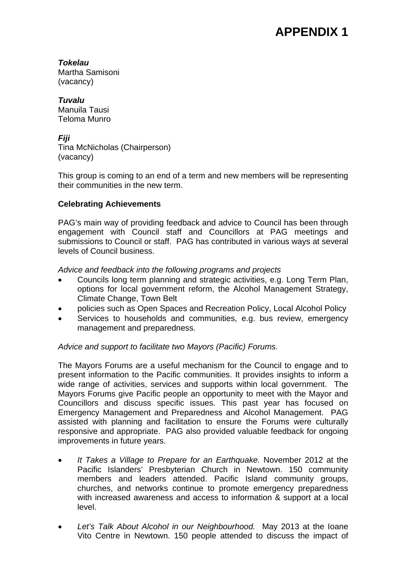# **APPENDIX 1**

*Tokelau*  Martha Samisoni (vacancy)

*Tuvalu*  Manuila Tausi Teloma Munro

*Fiji*  Tina McNicholas (Chairperson) (vacancy)

This group is coming to an end of a term and new members will be representing their communities in the new term.

### **Celebrating Achievements**

PAG's main way of providing feedback and advice to Council has been through engagement with Council staff and Councillors at PAG meetings and submissions to Council or staff. PAG has contributed in various ways at several levels of Council business.

#### *Advice and feedback into the following programs and projects*

- Councils long term planning and strategic activities, e.g. Long Term Plan, options for local government reform, the Alcohol Management Strategy, Climate Change, Town Belt
- policies such as Open Spaces and Recreation Policy, Local Alcohol Policy
- Services to households and communities, e.g. bus review, emergency management and preparedness.

### *Advice and support to facilitate two Mayors (Pacific) Forums.*

The Mayors Forums are a useful mechanism for the Council to engage and to present information to the Pacific communities. It provides insights to inform a wide range of activities, services and supports within local government. The Mayors Forums give Pacific people an opportunity to meet with the Mayor and Councillors and discuss specific issues. This past year has focused on Emergency Management and Preparedness and Alcohol Management. PAG assisted with planning and facilitation to ensure the Forums were culturally responsive and appropriate. PAG also provided valuable feedback for ongoing improvements in future years.

- *It Takes a Village to Prepare for an Earthquake.* November 2012 at the Pacific Islanders' Presbyterian Church in Newtown. 150 community members and leaders attended. Pacific Island community groups, churches, and networks continue to promote emergency preparedness with increased awareness and access to information & support at a local level.
- *Let's Talk About Alcohol in our Neighbourhood.* May 2013 at the Ioane Vito Centre in Newtown. 150 people attended to discuss the impact of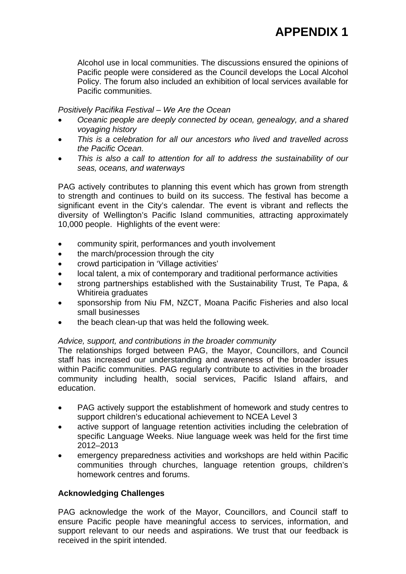Alcohol use in local communities. The discussions ensured the opinions of Pacific people were considered as the Council develops the Local Alcohol Policy. The forum also included an exhibition of local services available for Pacific communities.

#### *Positively Pacifika Festival – We Are the Ocean*

- *Oceanic people are deeply connected by ocean, genealogy, and a shared voyaging history*
- *This is a celebration for all our ancestors who lived and travelled across the Pacific Ocean.*
- *This is also a call to attention for all to address the sustainability of our seas, oceans, and waterways*

PAG actively contributes to planning this event which has grown from strength to strength and continues to build on its success. The festival has become a significant event in the City's calendar*.* The event is vibrant and reflects the diversity of Wellington's Pacific Island communities, attracting approximately 10,000 people. Highlights of the event were:

- community spirit, performances and youth involvement
- the march/procession through the city
- crowd participation in 'Village activities'
- local talent, a mix of contemporary and traditional performance activities
- strong partnerships established with the Sustainability Trust, Te Papa, & Whitireia graduates
- sponsorship from Niu FM, NZCT, Moana Pacific Fisheries and also local small businesses
- the beach clean-up that was held the following week.

#### *Advice, support, and contributions in the broader community*

The relationships forged between PAG, the Mayor, Councillors, and Council staff has increased our understanding and awareness of the broader issues within Pacific communities. PAG regularly contribute to activities in the broader community including health, social services, Pacific Island affairs, and education.

- PAG actively support the establishment of homework and study centres to support children's educational achievement to NCEA Level 3
- active support of language retention activities including the celebration of specific Language Weeks. Niue language week was held for the first time 2012–2013
- emergency preparedness activities and workshops are held within Pacific communities through churches, language retention groups, children's homework centres and forums.

#### **Acknowledging Challenges**

PAG acknowledge the work of the Mayor, Councillors, and Council staff to ensure Pacific people have meaningful access to services, information, and support relevant to our needs and aspirations. We trust that our feedback is received in the spirit intended.